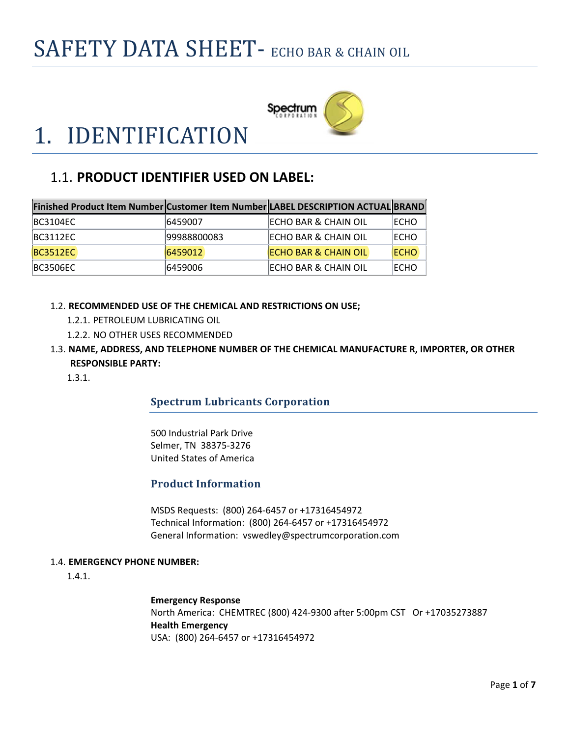

# 1. IDENTIFICATION

### 1.1. **PRODUCT IDENTIFIER USED ON LABEL:**

| Finished Product Item Number Customer Item Number LABEL DESCRIPTION ACTUAL BRAND |             |                                  |             |
|----------------------------------------------------------------------------------|-------------|----------------------------------|-------------|
| <b>BC3104EC</b>                                                                  | 6459007     | <b>IECHO BAR &amp; CHAIN OIL</b> | ECHO        |
| <b>BC3112EC</b>                                                                  | 99988800083 | <b>ECHO BAR &amp; CHAIN OIL</b>  | ECHO        |
| <b>BC3512EC</b>                                                                  | 6459012     | <b>ECHO BAR &amp; CHAIN OIL</b>  | <b>ECHO</b> |
| <b>BC3506EC</b>                                                                  | 6459006     | <b>ECHO BAR &amp; CHAIN OIL</b>  | ECHO        |

- 1.2. **RECOMMENDED USE OF THE CHEMICAL AND RESTRICTIONS ON USE;**
	- 1.2.1. PETROLEUM LUBRICATING OIL
	- 1.2.2. NO OTHER USES RECOMMENDED
- 1.3. **NAME, ADDRESS, AND TELEPHONE NUMBER OF THE CHEMICAL MANUFACTURE R, IMPORTER, OR OTHER RESPONSIBLE PARTY:**

1.3.1.

#### **Spectrum Lubricants Corporation**

500 Industrial Park Drive Selmer, TN 38375‐3276 United States of America

#### **Product Information**

MSDS Requests: (800) 264‐6457 or +17316454972 Technical Information: (800) 264‐6457 or +17316454972 General Information: vswedley@spectrumcorporation.com

#### 1.4. **EMERGENCY PHONE NUMBER:**

1.4.1.

**Emergency Response** North America: CHEMTREC (800) 424‐9300 after 5:00pm CST Or +17035273887 **Health Emergency** USA: (800) 264‐6457 or +17316454972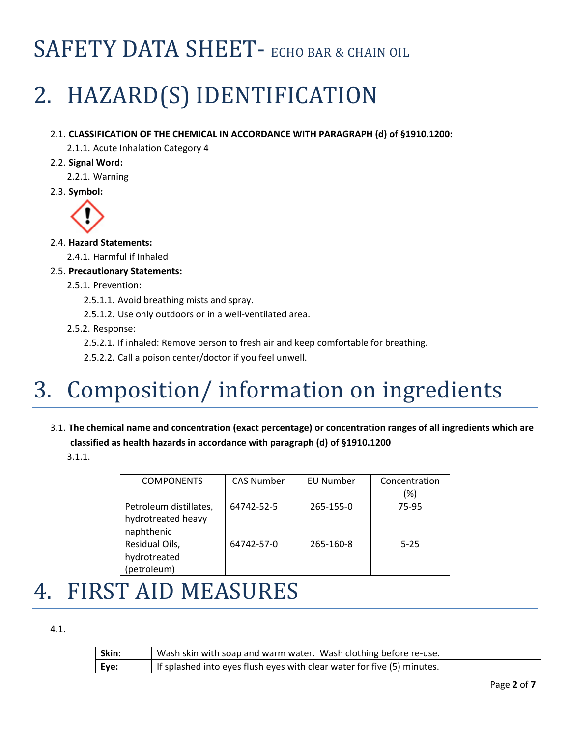# 2. HAZARD(S) IDENTIFICATION

#### 2.1. **CLASSIFICATION OF THE CHEMICAL IN ACCORDANCE WITH PARAGRAPH (d) of §1910.1200:**

2.1.1. Acute Inhalation Category 4

2.2. **Signal Word:**

2.2.1. Warning

2.3. **Symbol:**



#### 2.4. **Hazard Statements:**

2.4.1. Harmful if Inhaled

2.5. **Precautionary Statements:**

#### 2.5.1. Prevention:

- 2.5.1.1. Avoid breathing mists and spray.
- 2.5.1.2. Use only outdoors or in a well‐ventilated area.

#### 2.5.2. Response:

2.5.2.1. If inhaled: Remove person to fresh air and keep comfortable for breathing.

2.5.2.2. Call a poison center/doctor if you feel unwell.

# 3. Composition/ information on ingredients

3.1. **The chemical name and concentration (exact percentage) or concentration ranges of all ingredients which are classified as health hazards in accordance with paragraph (d) of §1910.1200**

3.1.1.

| <b>COMPONENTS</b>                                          | <b>CAS Number</b> | <b>EU Number</b> | Concentration<br>(%) |
|------------------------------------------------------------|-------------------|------------------|----------------------|
| Petroleum distillates,<br>hydrotreated heavy<br>naphthenic | 64742-52-5        | 265-155-0        | 75-95                |
| Residual Oils,<br>hydrotreated<br>(petroleum)              | 64742-57-0        | 265-160-8        | $5 - 25$             |

### 4. FIRST AID MEASURES

#### 4.1.

| Skin: | Wash skin with soap and warm water. Wash clothing before re-use.        |
|-------|-------------------------------------------------------------------------|
| Eye:  | If splashed into eyes flush eyes with clear water for five (5) minutes. |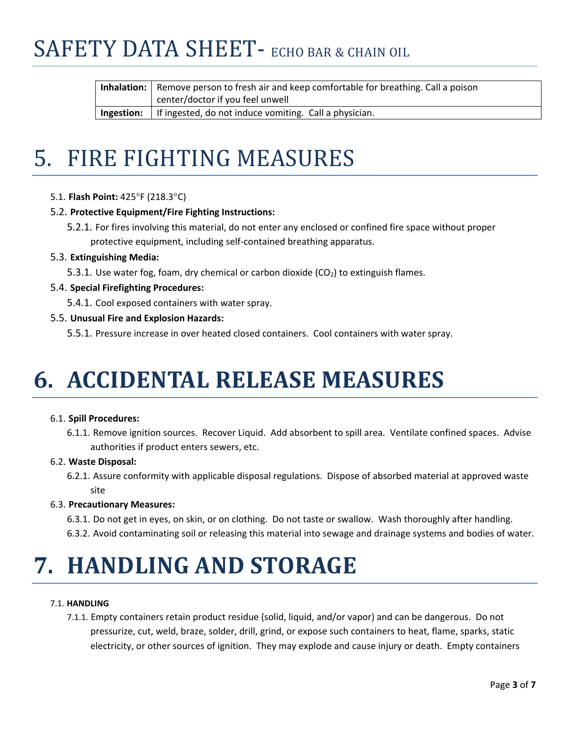| <b>Inhalation:</b> Remove person to fresh air and keep comfortable for breathing. Call a poison |  |
|-------------------------------------------------------------------------------------------------|--|
| center/doctor if you feel unwell                                                                |  |
| <b>Ingestion:</b>   If ingested, do not induce vomiting. Call a physician.                      |  |

### 5. FIRE FIGHTING MEASURES

5.1. **Flash Point:** 425°F (218.3°C)

#### 5.2. **Protective Equipment/Fire Fighting Instructions:**

5.2.1. For fires involving this material, do not enter any enclosed or confined fire space without proper protective equipment, including self‐contained breathing apparatus.

#### 5.3. **Extinguishing Media:**

- 5.3.1. Use water fog, foam, dry chemical or carbon dioxide ( $CO<sub>2</sub>$ ) to extinguish flames.
- 5.4. **Special Firefighting Procedures:**
	- 5.4.1. Cool exposed containers with water spray.
- 5.5. **Unusual Fire and Explosion Hazards:**

5.5.1. Pressure increase in over heated closed containers. Cool containers with water spray.

# **6. ACCIDENTAL RELEASE MEASURES**

#### 6.1. **Spill Procedures:**

6.1.1. Remove ignition sources. Recover Liquid. Add absorbent to spill area. Ventilate confined spaces. Advise authorities if product enters sewers, etc.

#### 6.2. **Waste Disposal:**

6.2.1. Assure conformity with applicable disposal regulations. Dispose of absorbed material at approved waste site

#### 6.3. **Precautionary Measures:**

- 6.3.1. Do not get in eyes, on skin, or on clothing. Do not taste or swallow. Wash thoroughly after handling.
- 6.3.2. Avoid contaminating soil or releasing this material into sewage and drainage systems and bodies of water.

### **7. HANDLING AND STORAGE**

#### 7.1. **HANDLING**

7.1.1. Empty containers retain product residue (solid, liquid, and/or vapor) and can be dangerous. Do not pressurize, cut, weld, braze, solder, drill, grind, or expose such containers to heat, flame, sparks, static electricity, or other sources of ignition. They may explode and cause injury or death. Empty containers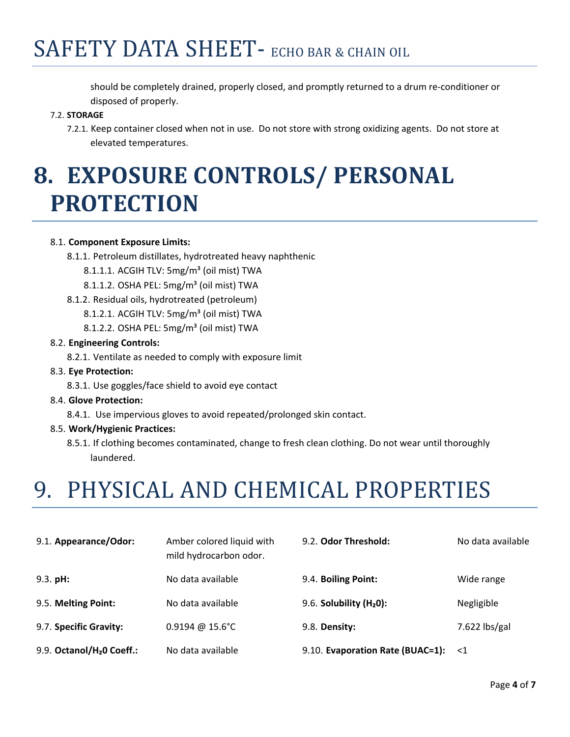should be completely drained, properly closed, and promptly returned to a drum re‐conditioner or disposed of properly.

#### 7.2. **STORAGE**

7.2.1. Keep container closed when not in use. Do not store with strong oxidizing agents. Do not store at elevated temperatures.

# **8. EXPOSURE CONTROLS/ PERSONAL PROTECTION**

#### 8.1. **Component Exposure Limits:**

- 8.1.1. Petroleum distillates, hydrotreated heavy naphthenic
	- 8.1.1.1. ACGIH TLV: 5mg/m<sup>3</sup> (oil mist) TWA
	- 8.1.1.2. OSHA PEL: 5mg/m<sup>3</sup> (oil mist) TWA
- 8.1.2. Residual oils, hydrotreated (petroleum)
	- 8.1.2.1. ACGIH TLV: 5mg/m<sup>3</sup> (oil mist) TWA
	- 8.1.2.2. OSHA PEL: 5mg/m<sup>3</sup> (oil mist) TWA

#### 8.2. **Engineering Controls:**

8.2.1. Ventilate as needed to comply with exposure limit

#### 8.3. **Eye Protection:**

- 8.3.1. Use goggles/face shield to avoid eye contact
- 8.4. **Glove Protection:**
	- 8.4.1. Use impervious gloves to avoid repeated/prolonged skin contact.
- 8.5. **Work/Hygienic Practices:**
	- 8.5.1. If clothing becomes contaminated, change to fresh clean clothing. Do not wear until thoroughly laundered.

### 9. PHYSICAL AND CHEMICAL PROPERTIES

| 9.1. Appearance/Odor:                 | Amber colored liquid with<br>mild hydrocarbon odor. | 9.2. Odor Threshold:             | No data available |
|---------------------------------------|-----------------------------------------------------|----------------------------------|-------------------|
| $9.3.$ pH:                            | No data available                                   | 9.4. Boiling Point:              | Wide range        |
| 9.5. Melting Point:                   | No data available                                   | $9.6.$ Solubility ( $H20$ ):     | Negligible        |
| 9.7. Specific Gravity:                | $0.9194 \ @ 15.6^{\circ}$ C                         | 9.8. Density:                    | $7.622$ lbs/gal   |
| 9.9. Octanol/H <sub>2</sub> 0 Coeff.: | No data available                                   | 9.10. Evaporation Rate (BUAC=1): | $\leq 1$          |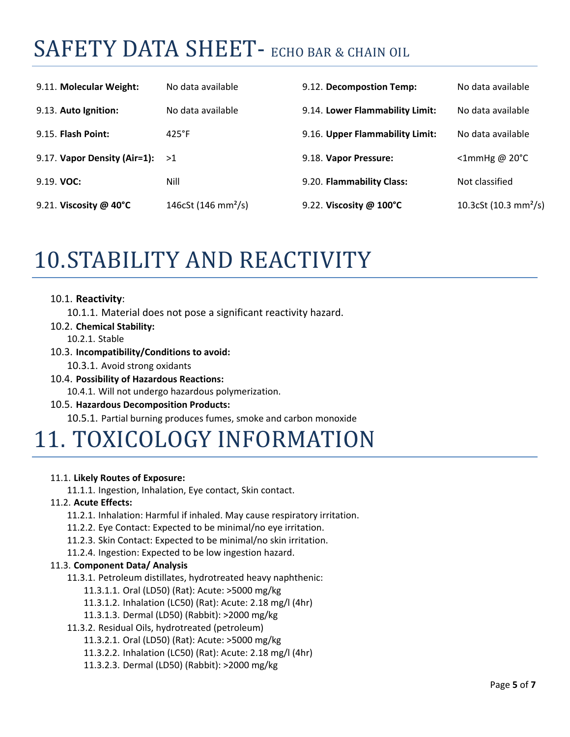| 9.11. Molecular Weight:          | No data available               | 9.12. Decompostion Temp:        | No data available                 |
|----------------------------------|---------------------------------|---------------------------------|-----------------------------------|
| 9.13. Auto Ignition:             | No data available               | 9.14. Lower Flammability Limit: | No data available                 |
| 9.15. Flash Point:               | $425^{\circ}F$                  | 9.16. Upper Flammability Limit: | No data available                 |
| 9.17. Vapor Density (Air=1):     | >1                              | 9.18. Vapor Pressure:           | $\leq$ 1mmHg @ 20 $\degree$ C     |
| $9.19.$ VOC:                     | Nill                            | 9.20. Flammability Class:       | Not classified                    |
| 9.21. Viscosity @ $40^{\circ}$ C | 146cSt (146 mm <sup>2</sup> /s) | 9.22. Viscosity @ 100°C         | 10.3cSt (10.3 mm <sup>2</sup> /s) |

### 10.STABILITY AND REACTIVITY

#### 10.1. **Reactivity**:

10.1.1. Material does not pose a significant reactivity hazard.

#### 10.2. **Chemical Stability:**

10.2.1. Stable

#### 10.3. **Incompatibility/Conditions to avoid:**

10.3.1. Avoid strong oxidants

10.4. **Possibility of Hazardous Reactions:**

10.4.1. Will not undergo hazardous polymerization.

#### 10.5. **Hazardous Decomposition Products:**

10.5.1. Partial burning produces fumes, smoke and carbon monoxide

### 11. TOXICOLOGY INFORMATION

#### 11.1. **Likely Routes of Exposure:**

11.1.1. Ingestion, Inhalation, Eye contact, Skin contact.

#### 11.2. **Acute Effects:**

11.2.1. Inhalation: Harmful if inhaled. May cause respiratory irritation.

- 11.2.2. Eye Contact: Expected to be minimal/no eye irritation.
- 11.2.3. Skin Contact: Expected to be minimal/no skin irritation.

11.2.4. Ingestion: Expected to be low ingestion hazard.

#### 11.3. **Component Data/ Analysis**

11.3.1. Petroleum distillates, hydrotreated heavy naphthenic:

- 11.3.1.1. Oral (LD50) (Rat): Acute: >5000 mg/kg
- 11.3.1.2. Inhalation (LC50) (Rat): Acute: 2.18 mg/l (4hr)
- 11.3.1.3. Dermal (LD50) (Rabbit): >2000 mg/kg
- 11.3.2. Residual Oils, hydrotreated (petroleum)

11.3.2.1. Oral (LD50) (Rat): Acute: >5000 mg/kg

- 11.3.2.2. Inhalation (LC50) (Rat): Acute: 2.18 mg/l (4hr)
- 11.3.2.3. Dermal (LD50) (Rabbit): >2000 mg/kg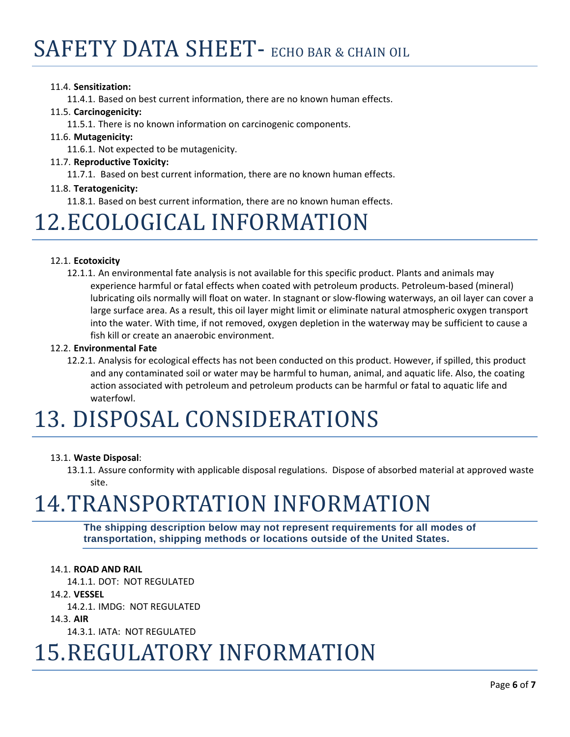#### 11.4. **Sensitization:**

11.4.1. Based on best current information, there are no known human effects.

#### 11.5. **Carcinogenicity:**

11.5.1. There is no known information on carcinogenic components.

#### 11.6. **Mutagenicity:**

11.6.1. Not expected to be mutagenicity.

#### 11.7. **Reproductive Toxicity:**

11.7.1. Based on best current information, there are no known human effects.

#### 11.8. **Teratogenicity:**

11.8.1. Based on best current information, there are no known human effects.

### 12. ECOLOGICAL INFORMATION

#### 12.1. **Ecotoxicity**

12.1.1. An environmental fate analysis is not available for this specific product. Plants and animals may experience harmful or fatal effects when coated with petroleum products. Petroleum‐based (mineral) lubricating oils normally will float on water. In stagnant or slow‐flowing waterways, an oil layer can cover a large surface area. As a result, this oil layer might limit or eliminate natural atmospheric oxygen transport into the water. With time, if not removed, oxygen depletion in the waterway may be sufficient to cause a fish kill or create an anaerobic environment.

#### 12.2. **Environmental Fate**

12.2.1. Analysis for ecological effects has not been conducted on this product. However, if spilled, this product and any contaminated soil or water may be harmful to human, animal, and aquatic life. Also, the coating action associated with petroleum and petroleum products can be harmful or fatal to aquatic life and waterfowl.

### 13. DISPOSAL CONSIDERATIONS

#### 13.1. **Waste Disposal**:

13.1.1. Assure conformity with applicable disposal regulations. Dispose of absorbed material at approved waste site.

### 14.TRANSPORTATION INFORMATION

**The shipping description below may not represent requirements for all modes of transportation, shipping methods or locations outside of the United States.**

#### 14.1. **ROAD AND RAIL**

14.1.1. DOT: NOT REGULATED

#### 14.2. **VESSEL**

14.2.1. IMDG: NOT REGULATED

#### 14.3. **AIR**

14.3.1. IATA: NOT REGULATED

### 15. REGULATORY INFORMATION